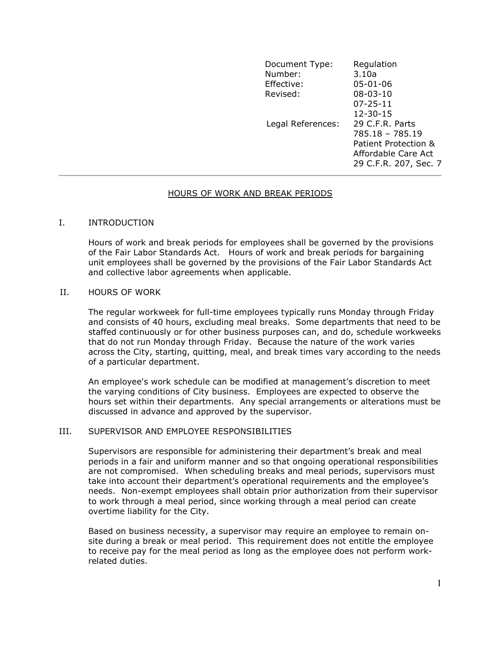| Document Type:<br>Number: | Regulation<br>3.10a                                                                                                               |  |
|---------------------------|-----------------------------------------------------------------------------------------------------------------------------------|--|
| Effective:                | $05 - 01 - 06$                                                                                                                    |  |
| Revised:                  | $08 - 03 - 10$                                                                                                                    |  |
|                           | $07 - 25 - 11$                                                                                                                    |  |
|                           | $12 - 30 - 15$                                                                                                                    |  |
|                           | 29 C.F.R. Parts<br>Legal References:<br>$785.18 - 785.19$<br>Patient Protection &<br>Affordable Care Act<br>29 C.F.R. 207, Sec. 7 |  |

## HOURS OF WORK AND BREAK PERIODS

## I. INTRODUCTION

Hours of work and break periods for employees shall be governed by the provisions of the Fair Labor Standards Act. Hours of work and break periods for bargaining unit employees shall be governed by the provisions of the Fair Labor Standards Act and collective labor agreements when applicable.

#### II. HOURS OF WORK

The regular workweek for full-time employees typically runs Monday through Friday and consists of 40 hours, excluding meal breaks. Some departments that need to be staffed continuously or for other business purposes can, and do, schedule workweeks that do not run Monday through Friday. Because the nature of the work varies across the City, starting, quitting, meal, and break times vary according to the needs of a particular department.

An employee's work schedule can be modified at management's discretion to meet the varying conditions of City business. Employees are expected to observe the hours set within their departments. Any special arrangements or alterations must be discussed in advance and approved by the supervisor.

#### III. SUPERVISOR AND EMPLOYEE RESPONSIBILITIES

Supervisors are responsible for administering their department's break and meal periods in a fair and uniform manner and so that ongoing operational responsibilities are not compromised. When scheduling breaks and meal periods, supervisors must take into account their department's operational requirements and the employee's needs. Non-exempt employees shall obtain prior authorization from their supervisor to work through a meal period, since working through a meal period can create overtime liability for the City.

Based on business necessity, a supervisor may require an employee to remain onsite during a break or meal period. This requirement does not entitle the employee to receive pay for the meal period as long as the employee does not perform workrelated duties.